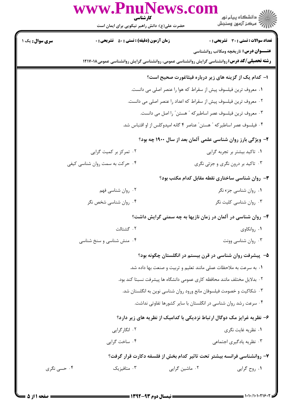|                        | www.PnuNews.com<br>کارشناسی                                                                         |                                                                          | ر دانشڪاه پيام نور<br>ا∛ مرکز آزمون وسنڊش                                                     |  |
|------------------------|-----------------------------------------------------------------------------------------------------|--------------------------------------------------------------------------|-----------------------------------------------------------------------------------------------|--|
|                        | حضرت علی(ع): دانش راهبر نیکویی برای ایمان است                                                       |                                                                          |                                                                                               |  |
| <b>سری سوال :</b> یک ۱ | <b>زمان آزمون (دقیقه) : تستی : 50 ٪ تشریحی : 0</b>                                                  |                                                                          | <b>تعداد سوالات : تستی : 30 ٪ تشریحی : 0</b><br><b>عنـــوان درس:</b> تاریخچه ومکاتب روانشناسی |  |
|                        | <b>رشته تحصیلی/کد درس: ر</b> وانشناسی گرایش روانشناسی عمومی، روانشناسی گرایش روانشناسی عمومی۱۲۱۷۰۱۸ |                                                                          |                                                                                               |  |
|                        |                                                                                                     |                                                                          | ا- کدام یک از گزینه های زیر درباره فیثاغورت صحیح است؟                                         |  |
|                        |                                                                                                     | ٠١ معروف ترين فيلسوف پيش از سقراط كه هوا را عنصر اصلي مي دانست.          |                                                                                               |  |
|                        | ۰۲ معروف ترین فیلسوف پیش از سقراط که اعداد را عنصر اصلی می دانست.                                   |                                                                          |                                                                                               |  |
|                        | ٠٣ معروف ترين فيلسوف عصر اساطيركه " هستن " را اصل مي دانست.                                         |                                                                          |                                                                                               |  |
|                        | ۰۴ فیلسوف عصر اساطیرکه " هستن" عناصر ۴ گانه امپدوکلس از او اقتباس شد.                               |                                                                          |                                                                                               |  |
|                        | ۲- ویژگی بارز روان شناسی علمی آلمان بعد از سال ۱۹۰۰ چه بود؟                                         |                                                                          |                                                                                               |  |
|                        | ۰۲ تمرکز بر کمیت گرایی                                                                              |                                                                          | ۰۱ تاکید بیشتر بر تجربه گرایی                                                                 |  |
|                        | ۰۴ حرکت به سمت روان شناسی کیفی                                                                      |                                                                          | ۰۳ تاکید بر درون نگری و جزئی نگری                                                             |  |
|                        |                                                                                                     |                                                                          | <b>۳</b> - روان شناسی ساختاری نقطه مقابل کدام مکتب بود؟                                       |  |
|                        | ۰۲ روان شناسي فهم                                                                                   |                                                                          | ۰۱ روان شناسی جزء نگر                                                                         |  |
|                        | ۰۴ روان شناسی شخص نگر                                                                               |                                                                          | ۰۳ روان شناسی کلیت نگر                                                                        |  |
|                        |                                                                                                     |                                                                          | ۴- روان شناسی در آلمان در زمان نازیها به چه سمتی گرایش داشت؟                                  |  |
|                        | ٠٢ گشتالت                                                                                           |                                                                          | ۰۱ روانکاوی                                                                                   |  |
|                        | ۰۴ منش شناسی و سنخ شناسی                                                                            |                                                                          | ۰۳ روان شناسی وونت                                                                            |  |
|                        |                                                                                                     |                                                                          | ۵– پیشرفت روان شناسی در قرن بیستم در انگلستان چگونه بود؟                                      |  |
|                        |                                                                                                     | ۰۱ به سرعت به ملاحظات عملی مانند تعلیم و تربیت و صنعت بها داده شد.       |                                                                                               |  |
|                        |                                                                                                     | ٢. بدلايل مختلف مانند محافظه كارى عمومى دانشگاه ها پيشرفت نسبتا كند بود. |                                                                                               |  |
|                        |                                                                                                     | ۰۳ شکاکیت و خصومت فیلسوفان مانع ورود روان شناسی نوین به انگلستان شد.     |                                                                                               |  |
|                        |                                                                                                     | ۰۴ سرعت رشد روان شناسی در انگلستان با سایر کشورها تفاوتی نداشت.          |                                                                                               |  |
|                        | ۶– نظریه غرایز مک دوگال ارتباط نزدیکی با کدامیک از نظریه های زیر دارد؟                              |                                                                          |                                                                                               |  |
|                        | ۰۲ انگارگرایی                                                                                       |                                                                          | ۰۱ نظریه غایت نگری                                                                            |  |
|                        | ۰۴ ساخت گرایی                                                                                       |                                                                          | ۰۳ نظریه یادگیری اجتماعی                                                                      |  |
|                        |                                                                                                     |                                                                          | ۷– روانشناسی فرانسه بیشتر تحت تاثیر کدام بخش از فلسفه دکارت قرار گرفت؟                        |  |
| ۰۴ حسی نگری            | ۰۳ متافیزیک                                                                                         | ۰۲ ماشین گرایی                                                           | ۰۱ روح گرايي                                                                                  |  |

 $= 1.1.11.1.119$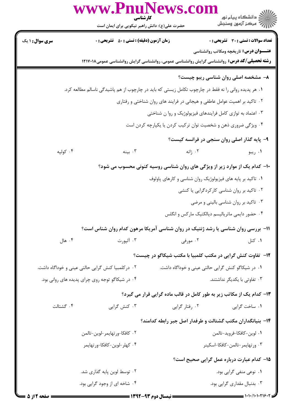|                                                   | www.PnuNews.<br>کارشناسی                                                                             |                                                                            |                                                 |  |  |  |
|---------------------------------------------------|------------------------------------------------------------------------------------------------------|----------------------------------------------------------------------------|-------------------------------------------------|--|--|--|
|                                                   | حضرت علی(ع): دانش راهبر نیکویی برای ایمان است                                                        |                                                                            | ڪ دانشڪاه پيام نور<br>//> مرڪز آزمون وسنڊش      |  |  |  |
| <b>سری سوال : ۱ یک</b>                            | <b>زمان آزمون (دقیقه) : تستی : 50 ٪ تشریحی : 0</b>                                                   |                                                                            | <b>تعداد سوالات : تستی : 30 ٪ تشریحی : 0</b>    |  |  |  |
|                                                   |                                                                                                      |                                                                            | <b>عنـــوان درس:</b> تاریخچه ومکاتب روانشناسی   |  |  |  |
|                                                   | <b>رشته تحصیلی/کد درس:</b> روانشناسی گرایش روانشناسی عمومی، روانشناسی گرایش روانشناسی عمومی۱۲۱۷۰۱۸   |                                                                            |                                                 |  |  |  |
|                                                   |                                                                                                      |                                                                            | ۸- مشخصه اصلی روان شناسی ریبو چیست؟             |  |  |  |
|                                                   | ۰۱ هر پدیده روانی را نه فقط در چارچوب تکامل زیستی که باید در چارچوب از هم پاشیدگی ناسالم مطالعه کرد. |                                                                            |                                                 |  |  |  |
|                                                   | ۰۲ تاکید بر اهمیت عوامل عاطفی و هیجانی در فرایند های روان شناختی و رفتاری                            |                                                                            |                                                 |  |  |  |
|                                                   | ۰۳ اعتماد به توازی کامل فرایندهای فیزیولوژیک و روا ن شناختی                                          |                                                                            |                                                 |  |  |  |
|                                                   | ۰۴ ویژگی ضروری ذهن و شخصیت توان ترکیب کردن یا یکپارچه کردن است                                       |                                                                            |                                                 |  |  |  |
|                                                   |                                                                                                      |                                                                            | ۹- پایه گذار اصلی روان سنجی در فرانسه کیست؟     |  |  |  |
| ۰۴ کولپه                                          | ۰۳ بينه                                                                                              | ۰۲ ژانه                                                                    | ۰۱ ريبو                                         |  |  |  |
|                                                   |                                                                                                      | ۱۰- کدام یک از موارد زیر از ویژگی های روان شناسی روسیه کنونی محسوب می شود؟ |                                                 |  |  |  |
|                                                   |                                                                                                      | ۰۱ تاکید بر پایه های فیزیولوژیک روان شناسی و کارهای پاولوف                 |                                                 |  |  |  |
|                                                   |                                                                                                      |                                                                            | ۰۲ تاکید بر روان شناسی کارکردگرایی یا کنشی      |  |  |  |
|                                                   |                                                                                                      |                                                                            | ۰۳ تاکید بر روان شناسی بالینی و مرضی            |  |  |  |
|                                                   |                                                                                                      |                                                                            | ۰۴ حضور دایمی ماتریالیسم دیالکتیک مارکس و انگلس |  |  |  |
|                                                   | <b>۱۱</b> - بررسی روان شناسی یا رشد ژنتیک در روان شناسی آمریکا مرهون کدام روان شناس است؟             |                                                                            |                                                 |  |  |  |
| ۰۴ هال                                            | ۰۳ آلپورت                                                                                            | ۰۲ مورفی                                                                   | ۰۱ کتل                                          |  |  |  |
|                                                   |                                                                                                      | <b>۱۲</b> - تفاوت کنش گرایی در مکتب کلمبیا با مکتب شیکاگو در چیست؟         |                                                 |  |  |  |
| ۰۲ در کلمبیا کنش گرایی حالتی عینی و خوداگاه داشت. |                                                                                                      | ۰۱ در شیکاگو کنش گرایی حالتی عینی و خوداگاه داشت.                          |                                                 |  |  |  |
| ۰۴ در شیکاگو توجه روی چرای پدیده های روانی بود.   |                                                                                                      | ۰۳ تفاوتی با یکدیگر نداشتند.                                               |                                                 |  |  |  |
|                                                   |                                                                                                      | ۱۳– کدام یک از مکاتب زیر به طور کامل در قالب ماده گرایی قرار می گیرد؟      |                                                 |  |  |  |
| ۰۴ گشتالت                                         | ۰۳ کنش گرایی                                                                                         | ٠٢ رفتار گرايي                                                             | ٠١. ساخت گرايي                                  |  |  |  |
|                                                   | ۱۴- بنیانگداران مکتب گشتالت و طرفدار اصل جبر رابطه کدامند؟                                           |                                                                            |                                                 |  |  |  |
|                                                   | ٠٢ كافكا-ورتهايمر-لوين-تالمن                                                                         |                                                                            | ٠١ لوين-كافكا-فرويد-تالمن                       |  |  |  |
| ۴. كهلر-لوين-كافكا-ورتهايمر                       |                                                                                                      |                                                                            | ٠٣ ورتهايمر-تالمن-كافكا-اسكينر                  |  |  |  |
|                                                   |                                                                                                      |                                                                            | 1۵– کدام عبارت درباره عمل گرایی صحیح است؟       |  |  |  |
| ۰۲ توسط لوین پایه گذاری شد.                       |                                                                                                      |                                                                            | ۰۱ نوعی منفی گرایی بود.                         |  |  |  |
|                                                   | ۰۴ شاخه ای از وجود گرایی بود.                                                                        |                                                                            | ۰۳ بدنبال مقداری گرایی بود.                     |  |  |  |
|                                                   |                                                                                                      |                                                                            |                                                 |  |  |  |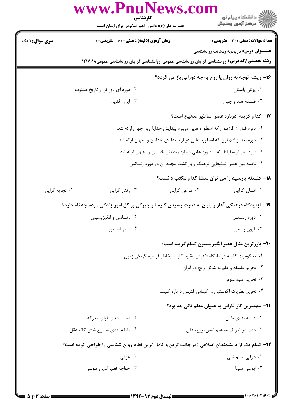|                                                                             | www.PnuNews.co<br>کارشناسی                                                                         |                | ِ دانشڪاه پيام نور<br>√ مرکز آزمون وسنڊش                       |
|-----------------------------------------------------------------------------|----------------------------------------------------------------------------------------------------|----------------|----------------------------------------------------------------|
|                                                                             | حضرت علی(ع): دانش راهبر نیکویی برای ایمان است                                                      |                |                                                                |
| <b>سری سوال : ۱ یک</b>                                                      | <b>زمان آزمون (دقیقه) : تستی : 50 ٪ تشریحی : 0</b>                                                 |                | <b>تعداد سوالات : تستی : 30 ٪ تشریحی : 0</b>                   |
|                                                                             |                                                                                                    |                | <b>عنـــوان درس:</b> تاریخچه ومکاتب روانشناسی                  |
|                                                                             | <b>رشته تحصیلی/کد درس:</b> روانشناسی گرایش روانشناسی عمومی، روانشناسی گرایش روانشناسی عمومی۱۲۱۷۰۱۸ |                |                                                                |
|                                                                             |                                                                                                    |                | 16- ریشه توجه به روان یا روح به چه دورانی باز می گردد؟         |
|                                                                             | ۰۲ دوره ای دور تر از تاریخ مکتوب                                                                   |                | ٠١ يونان باستان                                                |
|                                                                             | ۰۴ ایران قدیم                                                                                      |                | ۰۳ فلسفه هند و چین                                             |
|                                                                             |                                                                                                    |                | ۱۷– کدام گزینه درباره عصر اساطیر صحیح است؟                     |
| ۰۱ دوره قبل از افلاطون که اسطوره هایی درباره پیدایش خدایان و جهان ارائه شد. |                                                                                                    |                |                                                                |
| ۰۲ دوره بعد از افلاطون که اسطوره هایی درباره پیدایش خدایان و جهان ارائه شد. |                                                                                                    |                |                                                                |
| ۰۳ دوره قبل از سقراط که اسطوره هایی درباره پیدایش خدایان و جهان ارائه شد.   |                                                                                                    |                |                                                                |
|                                                                             |                                                                                                    |                | ۰۴ فاصله بین عصر شکوفایی فرهنگ و بازگشت مجدد آن در دوره رنسانس |
|                                                                             |                                                                                                    |                | ۱۸– فلسفه پارمنید را می توان منشا کدام مکتب دانست؟             |
| ۰۴ تجربه گرایی                                                              | ۰۳ رفتار گرایی                                                                                     | ۰۲ تداعی گرایی | ۰۱ انسان گرايي                                                 |
|                                                                             | ۱۹- ازدیدگاه فرهنگی آغاز و پایان به قدرت رسیدن کلیسا و چیرگی بر کل امور زندگی مردم چه نام دارد؟    |                |                                                                |
|                                                                             | ۰۲ رنسانس و انگیزیسیون                                                                             |                | ۰۱ دوره رنسانس                                                 |
|                                                                             | ۰۴ عصر اساطیر                                                                                      |                | ۰۳ قرون وسطی                                                   |
|                                                                             |                                                                                                    |                | <b>۲۰</b> - بارزترین مثال عصر انگیزیسیون کدام گزینه است؟       |
|                                                                             | ٠١ محكوميت گاليله در دادگاه تفتيش عقايد كليسا بخاطر فرضيه گردش زمين                                |                |                                                                |
|                                                                             |                                                                                                    |                | ۰۲ تحریم فلسفه و علم به شکل رایج در ایران                      |
|                                                                             |                                                                                                    |                | ۰۳ تحريم كليه علوم                                             |
|                                                                             |                                                                                                    |                | ۰۴ تحریم نظریات اگوستین و آکیناس قدیس درباره کلیسا             |
|                                                                             |                                                                                                    |                | <b>۲۱</b> - مهمترین کار فارابی به عنوان معلم ثانی چه بود؟      |
|                                                                             | ۰۲ دسته بندی قوای مدر که                                                                           |                | ۰۱ دسته بندی نفس                                               |
|                                                                             | ۰۴ طبقه بندی سطوح شش گانه عقل                                                                      |                | ۰۳ دقت در تعریف مفاهیم نفس، روح، عقل                           |
|                                                                             | ۲۲- کدام یک از دانشمندان اسلامی زیر جالب ترین و کامل ترین نظام روان شناسی را طراحی کرده است؟       |                |                                                                |
|                                                                             | ۰۲ غزالی                                                                                           |                | ۰۱ فارابی معلم ثانی                                            |
|                                                                             | ۰۴ خواجه نصيرالدين طوسي                                                                            |                | ۰۳ ابوعلی سینا                                                 |
|                                                                             |                                                                                                    |                |                                                                |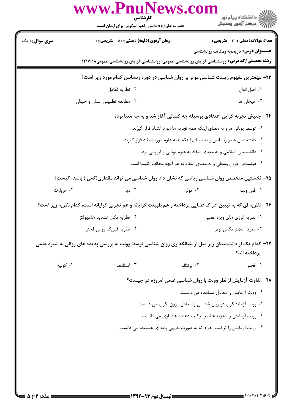|                                                                                                             | www.PnuNews.com<br>حضرت علی(ع): دانش راهبر نیکویی برای ایمان است                                          | کارشناسی                  |                                                                                                                                                     |  |  |
|-------------------------------------------------------------------------------------------------------------|-----------------------------------------------------------------------------------------------------------|---------------------------|-----------------------------------------------------------------------------------------------------------------------------------------------------|--|--|
| <b>سری سوال : ۱ یک</b>                                                                                      | <b>زمان آزمون (دقیقه) : تستی : 50 ٪ تشریحی : 0</b>                                                        |                           | تعداد سوالات : تستي : 30 - تشريحي : 0                                                                                                               |  |  |
|                                                                                                             |                                                                                                           |                           | <b>عنـــوان درس:</b> تاریخچه ومکاتب روانشناسی<br><b>رشته تحصیلی/کد درس:</b> روانشناسی گرایش روانشناسی عمومی، روانشناسی گرایش روانشناسی عمومی۱۲۱۷۰۱۸ |  |  |
| ۲۳- مهمترین مفهوم زیست شناسی موثر بر روان شناسی در دوره رنسانس کدام مورد زیر است؟                           |                                                                                                           |                           |                                                                                                                                                     |  |  |
|                                                                                                             | ۰۲ نظریه تکامل                                                                                            |                           | ٠١. اصل انواع                                                                                                                                       |  |  |
|                                                                                                             | ۰۴ مطالعه تطبيقي انسان و حيوان                                                                            |                           | ۰۳ هیجان ها                                                                                                                                         |  |  |
| ۲۴- جنبش تجربه گرایی اعتقادی بوسیله چه کسانی آغاز شد و به چه معنا بود؟                                      |                                                                                                           |                           |                                                                                                                                                     |  |  |
| ۰۱ توسط یونانی ها و به معنای اینکه همه تجربه ها مورد انتقاد قرار گیرند.                                     |                                                                                                           |                           |                                                                                                                                                     |  |  |
|                                                                                                             |                                                                                                           |                           | ۰۲ دانشمندان عصر رنسانس و به معنای اینکه همه علوم مورد انتقاد قرار گیرند.                                                                           |  |  |
|                                                                                                             |                                                                                                           |                           | ۰۳ دانشمندان اسلامی و به معنای انتقاد به علوم یونانی و اروپایی بود.                                                                                 |  |  |
|                                                                                                             |                                                                                                           |                           | ۰۴ فیلسوفان قرون وسطی و به معنای انتقاد به هر آنچه مخالف کلیسا است.                                                                                 |  |  |
|                                                                                                             | ۲۵– نخستین متخصص روان شناسی ریاضی که نشان داد روان شناسی می تواند مقداری(کمی ) باشد، کیست؟                |                           |                                                                                                                                                     |  |  |
| ۰۴ هربارت                                                                                                   |                                                                                                           | ۰۲ مولر<br>. اوبر $\cdot$ | ٠١. فون ولف                                                                                                                                         |  |  |
| ۲۶- نظریه ای که به تبیین ادراک فضایی پرداخته و هم طبیعت گرایانه و هم تجربی گرایانه است، کدام نظریه زیر است؟ |                                                                                                           |                           |                                                                                                                                                     |  |  |
|                                                                                                             | ۲. نظریه مکان تشدید هلمهولتز                                                                              |                           | ۰۱ نظریه انرژی های ویژه عصبی                                                                                                                        |  |  |
| ۰۴ نظریه فیزیک روانی فخنر                                                                                   |                                                                                                           |                           | ۰۳ نظریه علائم مکانی لوتز                                                                                                                           |  |  |
|                                                                                                             | ۲۷– کدام یک از دانشمندان زیر قبل از بنیانگذاری روان شناسی توسط وونت به بررسی پدیده های روانی به شیوه علمی |                           | پر داخته اند؟                                                                                                                                       |  |  |
| ۰۴ کولپه                                                                                                    | ۰۳ استامف                                                                                                 | ۰۲ برنتانو                | ۰۱ فخنر                                                                                                                                             |  |  |
|                                                                                                             |                                                                                                           |                           | ۲۸- تفاوت آزمایش از نظر وونت با روان شناسی علمی امروزه در چیست؟                                                                                     |  |  |
|                                                                                                             |                                                                                                           |                           | ٠١ وونت آزمايش را معادل مشاهده مي دانست.                                                                                                            |  |  |
|                                                                                                             |                                                                                                           |                           | ۰۲ وونت آزمایشگری در روان شناسی را معادل درون نگری می دانست.                                                                                        |  |  |
|                                                                                                             | ۰۳ وونت آزمایش را تجزیه عناصر ترکیب دهنده هشیاری می دانست.                                                |                           |                                                                                                                                                     |  |  |
|                                                                                                             | ۰۴ وونت آزمایش را ترکیب اجزاء که به صورت بدیهی پایه ای هستند، می دانست.                                   |                           |                                                                                                                                                     |  |  |
|                                                                                                             |                                                                                                           |                           |                                                                                                                                                     |  |  |